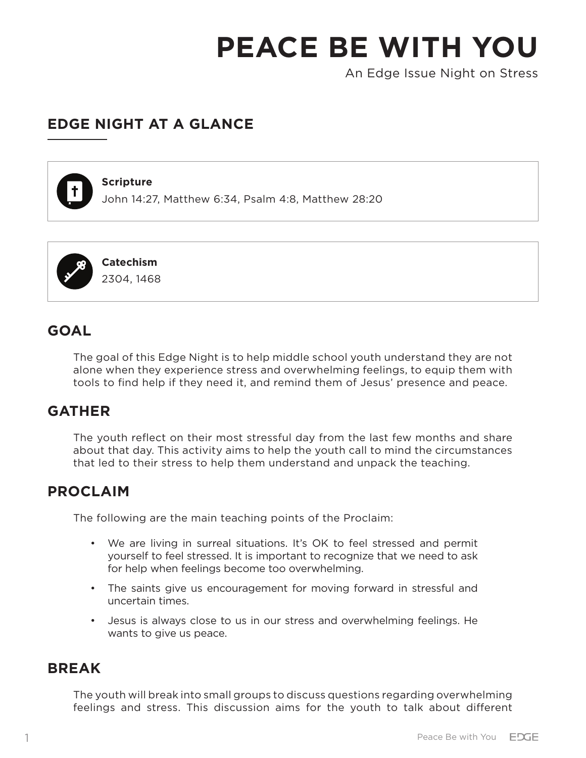An Edge Issue Night on Stress

## **EDGE NIGHT AT A GLANCE**



#### **Scripture**

John 14:27, Matthew 6:34, Psalm 4:8, Matthew 28:20



## **GOAL**

The goal of this Edge Night is to help middle school youth understand they are not alone when they experience stress and overwhelming feelings, to equip them with tools to find help if they need it, and remind them of Jesus' presence and peace.

## **GATHER**

The youth reflect on their most stressful day from the last few months and share about that day. This activity aims to help the youth call to mind the circumstances that led to their stress to help them understand and unpack the teaching.

### **PROCLAIM**

The following are the main teaching points of the Proclaim:

- We are living in surreal situations. It's OK to feel stressed and permit yourself to feel stressed. It is important to recognize that we need to ask for help when feelings become too overwhelming.
- The saints give us encouragement for moving forward in stressful and uncertain times.
- Jesus is always close to us in our stress and overwhelming feelings. He wants to give us peace.

### **BREAK**

The youth will break into small groups to discuss questions regarding overwhelming feelings and stress. This discussion aims for the youth to talk about different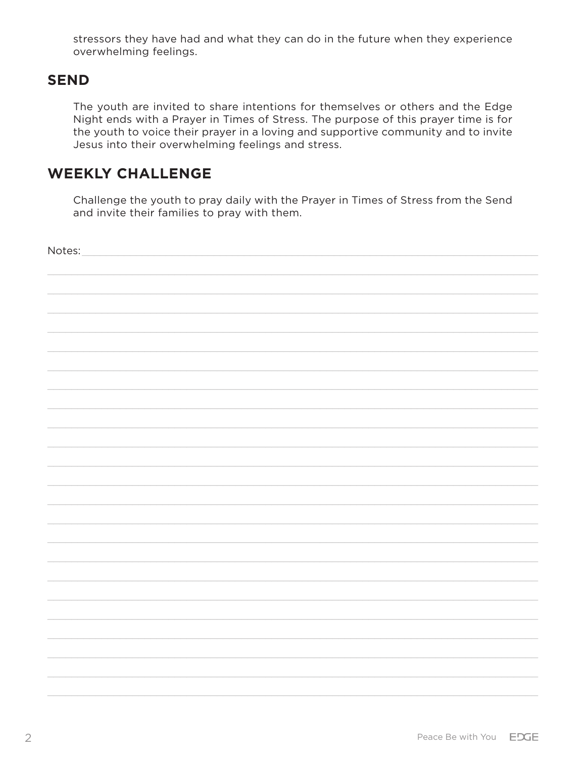stressors they have had and what they can do in the future when they experience overwhelming feelings.

## **SEND**

The youth are invited to share intentions for themselves or others and the Edge Night ends with a Prayer in Times of Stress. The purpose of this prayer time is for the youth to voice their prayer in a loving and supportive community and to invite Jesus into their overwhelming feelings and stress.

## **WEEKLY CHALLENGE**

Challenge the youth to pray daily with the Prayer in Times of Stress from the Send and invite their families to pray with them.

| Notes: |  |
|--------|--|
|        |  |
|        |  |
|        |  |
|        |  |
|        |  |
|        |  |
|        |  |
|        |  |
|        |  |
|        |  |
|        |  |
|        |  |
|        |  |
|        |  |
|        |  |
|        |  |
|        |  |
|        |  |
|        |  |
|        |  |
|        |  |
|        |  |
|        |  |
|        |  |
|        |  |
|        |  |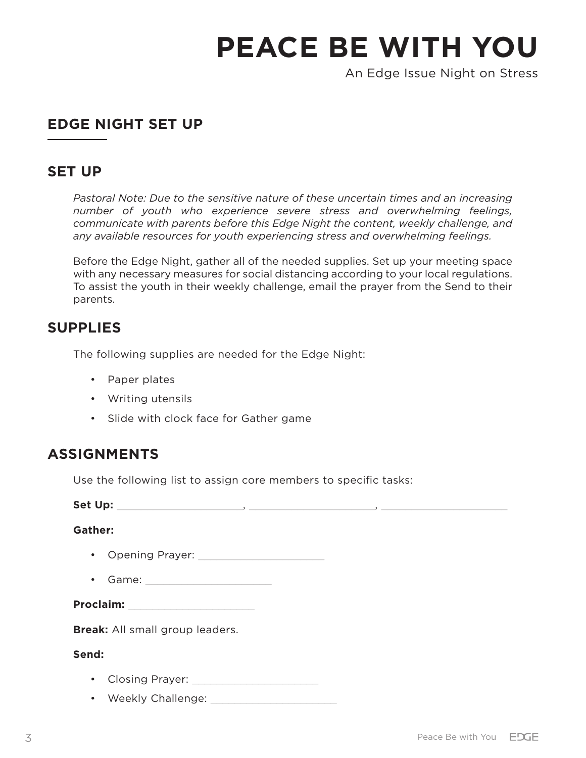An Edge Issue Night on Stress

## **EDGE NIGHT SET UP**

### **SET UP**

*Pastoral Note: Due to the sensitive nature of these uncertain times and an increasing number of youth who experience severe stress and overwhelming feelings, communicate with parents before this Edge Night the content, weekly challenge, and any available resources for youth experiencing stress and overwhelming feelings.* 

Before the Edge Night, gather all of the needed supplies. Set up your meeting space with any necessary measures for social distancing according to your local regulations. To assist the youth in their weekly challenge, email the prayer from the Send to their parents.

## **SUPPLIES**

The following supplies are needed for the Edge Night:

- Paper plates
- Writing utensils
- Slide with clock face for Gather game

## **ASSIGNMENTS**

Use the following list to assign core members to specific tasks:

**Set Up:** \_\_\_\_\_\_\_\_\_\_\_\_\_\_\_\_\_\_\_\_\_, \_\_\_\_\_\_\_\_\_\_\_\_\_\_\_\_\_\_\_\_\_, \_\_\_\_\_\_\_\_\_\_\_\_\_\_\_\_\_\_\_\_\_ **Gather:** • Opening Prayer: • Game: **Proclaim:** \_\_\_\_\_\_\_\_\_\_\_\_\_\_\_\_\_\_\_\_\_ **Break:** All small group leaders. **Send:** • Closing Prayer: **with the Closing Prayer:** 

• Weekly Challenge: \_\_\_\_\_\_\_\_\_\_\_\_\_\_\_\_\_\_\_\_\_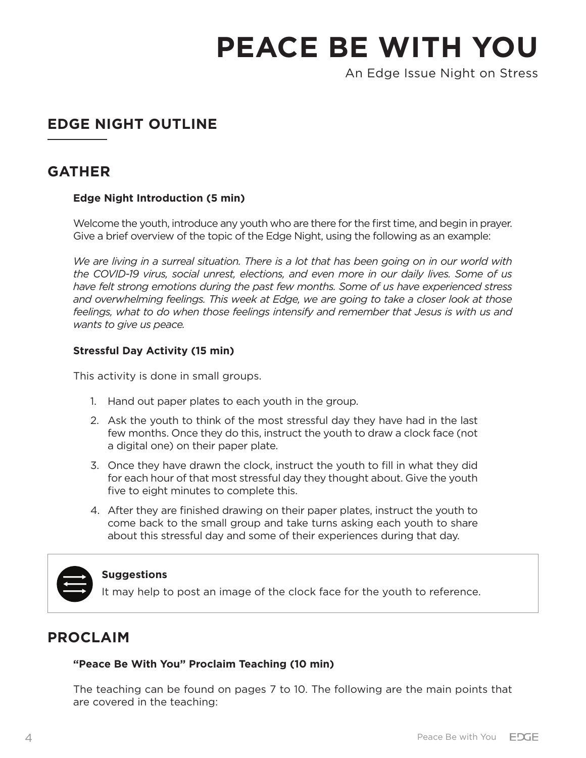An Edge Issue Night on Stress

# **EDGE NIGHT OUTLINE**

## **GATHER**

#### **Edge Night Introduction (5 min)**

Welcome the youth, introduce any youth who are there for the first time, and begin in prayer. Give a brief overview of the topic of the Edge Night, using the following as an example:

*We are living in a surreal situation. There is a lot that has been going on in our world with the COVID-19 virus, social unrest, elections, and even more in our daily lives. Some of us have felt strong emotions during the past few months. Some of us have experienced stress and overwhelming feelings. This week at Edge, we are going to take a closer look at those feelings, what to do when those feelings intensify and remember that Jesus is with us and wants to give us peace.* 

#### **Stressful Day Activity (15 min)**

This activity is done in small groups.

- 1. Hand out paper plates to each youth in the group.
- 2. Ask the youth to think of the most stressful day they have had in the last few months. Once they do this, instruct the youth to draw a clock face (not a digital one) on their paper plate.
- 3. Once they have drawn the clock, instruct the youth to fill in what they did for each hour of that most stressful day they thought about. Give the youth five to eight minutes to complete this.
- 4. After they are finished drawing on their paper plates, instruct the youth to come back to the small group and take turns asking each youth to share about this stressful day and some of their experiences during that day.



#### **Suggestions**

It may help to post an image of the clock face for the youth to reference.

## **PROCLAIM**

#### **"Peace Be With You" Proclaim Teaching (10 min)**

The teaching can be found on pages 7 to 10. The following are the main points that are covered in the teaching: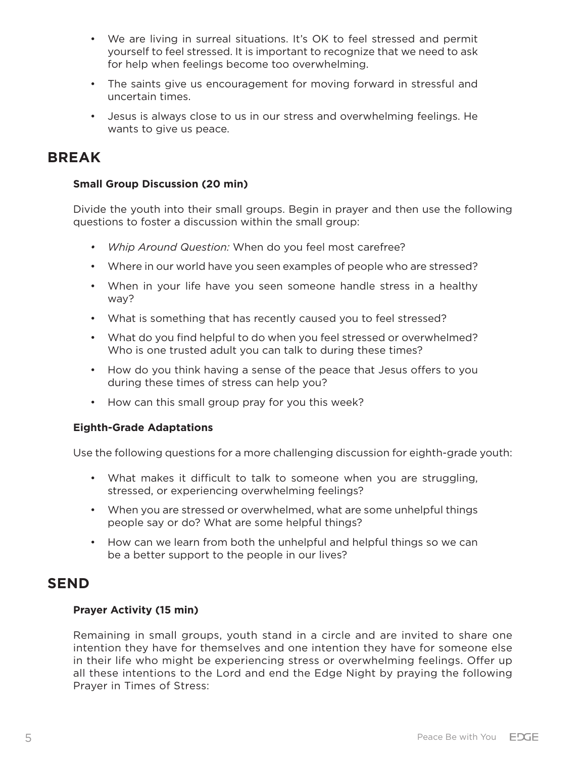- We are living in surreal situations. It's OK to feel stressed and permit yourself to feel stressed. It is important to recognize that we need to ask for help when feelings become too overwhelming.
- The saints give us encouragement for moving forward in stressful and uncertain times.
- Jesus is always close to us in our stress and overwhelming feelings. He wants to give us peace.

### **BREAK**

#### **Small Group Discussion (20 min)**

Divide the youth into their small groups. Begin in prayer and then use the following questions to foster a discussion within the small group:

- *• Whip Around Question:* When do you feel most carefree?
- Where in our world have you seen examples of people who are stressed?
- When in your life have you seen someone handle stress in a healthy way?
- What is something that has recently caused you to feel stressed?
- What do you find helpful to do when you feel stressed or overwhelmed? Who is one trusted adult you can talk to during these times?
- How do you think having a sense of the peace that Jesus offers to you during these times of stress can help you?
- How can this small group pray for you this week?

#### **Eighth-Grade Adaptations**

Use the following questions for a more challenging discussion for eighth-grade youth:

- What makes it difficult to talk to someone when you are struggling, stressed, or experiencing overwhelming feelings?
- When you are stressed or overwhelmed, what are some unhelpful things people say or do? What are some helpful things?
- How can we learn from both the unhelpful and helpful things so we can be a better support to the people in our lives?

## **SEND**

#### **Prayer Activity (15 min)**

Remaining in small groups, youth stand in a circle and are invited to share one intention they have for themselves and one intention they have for someone else in their life who might be experiencing stress or overwhelming feelings. Offer up all these intentions to the Lord and end the Edge Night by praying the following Prayer in Times of Stress: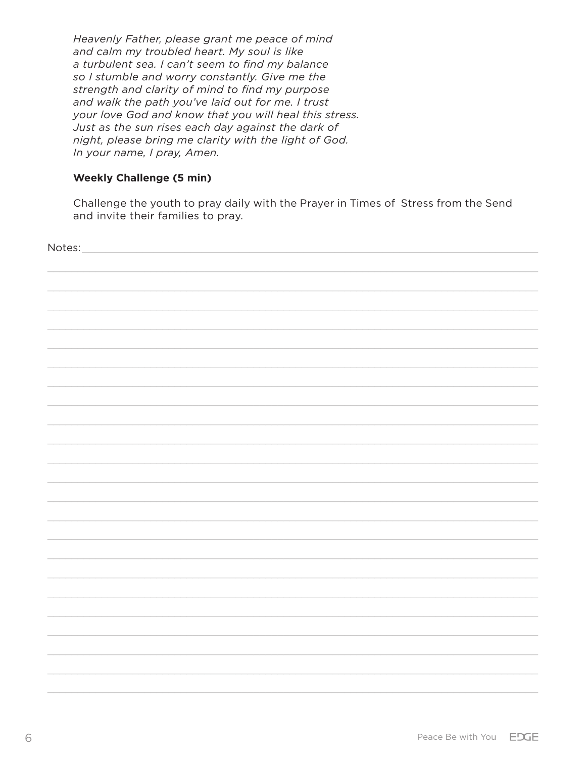Heavenly Father, please grant me peace of mind and calm my troubled heart. My soul is like a turbulent sea. I can't seem to find my balance so I stumble and worry constantly. Give me the strength and clarity of mind to find my purpose and walk the path you've laid out for me. I trust your love God and know that you will heal this stress. Just as the sun rises each day against the dark of night, please bring me clarity with the light of God. In your name, I pray, Amen.

#### **Weekly Challenge (5 min)**

Challenge the youth to pray daily with the Prayer in Times of Stress from the Send and invite their families to pray.

| Notes: |  |  |
|--------|--|--|
|        |  |  |
|        |  |  |
|        |  |  |
|        |  |  |
|        |  |  |
|        |  |  |
|        |  |  |
|        |  |  |
|        |  |  |
|        |  |  |
|        |  |  |
|        |  |  |
|        |  |  |
|        |  |  |
|        |  |  |
|        |  |  |
|        |  |  |
|        |  |  |
|        |  |  |
|        |  |  |
|        |  |  |
|        |  |  |
|        |  |  |
|        |  |  |
|        |  |  |
|        |  |  |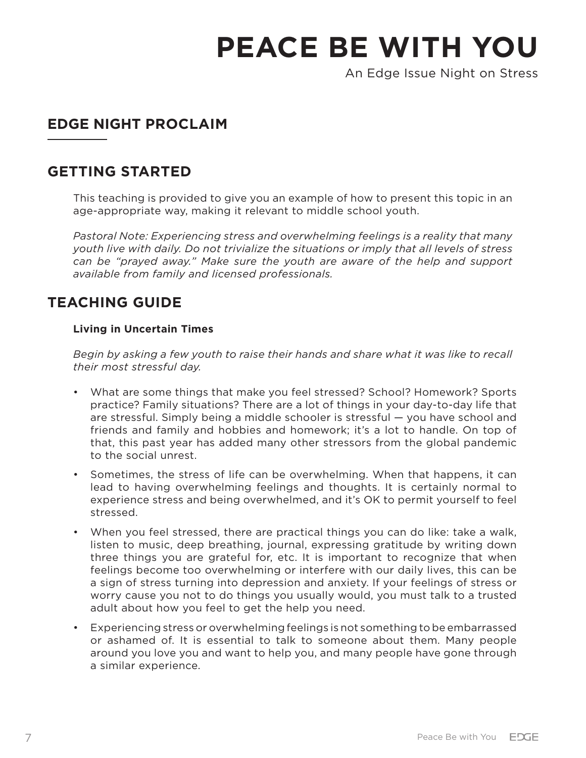An Edge Issue Night on Stress

# **EDGE NIGHT PROCLAIM**

## **GETTING STARTED**

This teaching is provided to give you an example of how to present this topic in an age-appropriate way, making it relevant to middle school youth.

*Pastoral Note: Experiencing stress and overwhelming feelings is a reality that many youth live with daily. Do not trivialize the situations or imply that all levels of stress can be "prayed away." Make sure the youth are aware of the help and support available from family and licensed professionals.* 

## **TEACHING GUIDE**

#### **Living in Uncertain Times**

*Begin by asking a few youth to raise their hands and share what it was like to recall their most stressful day.* 

- What are some things that make you feel stressed? School? Homework? Sports practice? Family situations? There are a lot of things in your day-to-day life that are stressful. Simply being a middle schooler is stressful — you have school and friends and family and hobbies and homework; it's a lot to handle. On top of that, this past year has added many other stressors from the global pandemic to the social unrest.
- Sometimes, the stress of life can be overwhelming. When that happens, it can lead to having overwhelming feelings and thoughts. It is certainly normal to experience stress and being overwhelmed, and it's OK to permit yourself to feel stressed.
- When you feel stressed, there are practical things you can do like: take a walk, listen to music, deep breathing, journal, expressing gratitude by writing down three things you are grateful for, etc. It is important to recognize that when feelings become too overwhelming or interfere with our daily lives, this can be a sign of stress turning into depression and anxiety. If your feelings of stress or worry cause you not to do things you usually would, you must talk to a trusted adult about how you feel to get the help you need.
- Experiencing stress or overwhelming feelings is not something to be embarrassed or ashamed of. It is essential to talk to someone about them. Many people around you love you and want to help you, and many people have gone through a similar experience.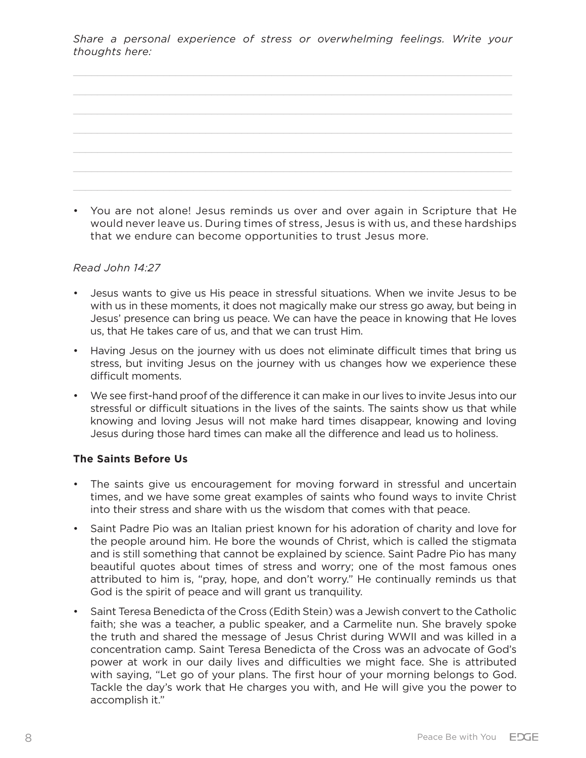| a construction of the control of the construction of the construction of the construction of the construction of |  |
|------------------------------------------------------------------------------------------------------------------|--|
|                                                                                                                  |  |
|                                                                                                                  |  |
|                                                                                                                  |  |
|                                                                                                                  |  |
|                                                                                                                  |  |
|                                                                                                                  |  |

• You are not alone! Jesus reminds us over and over again in Scripture that He would never leave us. During times of stress, Jesus is with us, and these hardships that we endure can become opportunities to trust Jesus more.

#### *Read John 14:27*

- Jesus wants to give us His peace in stressful situations. When we invite Jesus to be with us in these moments, it does not magically make our stress go away, but being in Jesus' presence can bring us peace. We can have the peace in knowing that He loves us, that He takes care of us, and that we can trust Him.
- Having Jesus on the journey with us does not eliminate difficult times that bring us stress, but inviting Jesus on the journey with us changes how we experience these difficult moments.
- We see first-hand proof of the difference it can make in our lives to invite Jesus into our stressful or difficult situations in the lives of the saints. The saints show us that while knowing and loving Jesus will not make hard times disappear, knowing and loving Jesus during those hard times can make all the difference and lead us to holiness.

#### **The Saints Before Us**

- The saints give us encouragement for moving forward in stressful and uncertain times, and we have some great examples of saints who found ways to invite Christ into their stress and share with us the wisdom that comes with that peace.
- Saint Padre Pio was an Italian priest known for his adoration of charity and love for the people around him. He bore the wounds of Christ, which is called the stigmata and is still something that cannot be explained by science. Saint Padre Pio has many beautiful quotes about times of stress and worry; one of the most famous ones attributed to him is, "pray, hope, and don't worry." He continually reminds us that God is the spirit of peace and will grant us tranquility.
- Saint Teresa Benedicta of the Cross (Edith Stein) was a Jewish convert to the Catholic faith; she was a teacher, a public speaker, and a Carmelite nun. She bravely spoke the truth and shared the message of Jesus Christ during WWII and was killed in a concentration camp. Saint Teresa Benedicta of the Cross was an advocate of God's power at work in our daily lives and difficulties we might face. She is attributed with saying, "Let go of your plans. The first hour of your morning belongs to God. Tackle the day's work that He charges you with, and He will give you the power to accomplish it."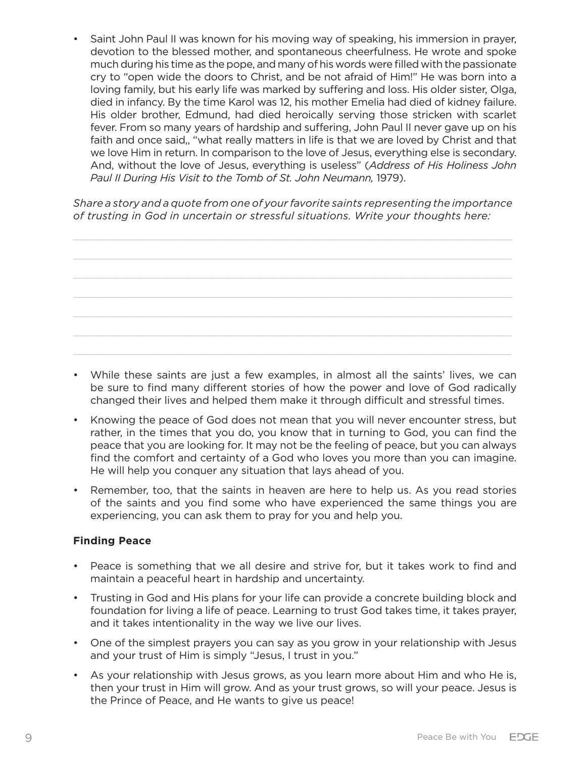• Saint John Paul II was known for his moving way of speaking, his immersion in prayer, devotion to the blessed mother, and spontaneous cheerfulness. He wrote and spoke much during his time as the pope, and many of his words were filled with the passionate cry to "open wide the doors to Christ, and be not afraid of Him!" He was born into a loving family, but his early life was marked by suffering and loss. His older sister, Olga, died in infancy. By the time Karol was 12, his mother Emelia had died of kidney failure. His older brother, Edmund, had died heroically serving those stricken with scarlet fever. From so many years of hardship and suffering, John Paul II never gave up on his faith and once said,, "what really matters in life is that we are loved by Christ and that we love Him in return. In comparison to the love of Jesus, everything else is secondary. And, without the love of Jesus, everything is useless" (*Address of His Holiness John Paul II During His Visit to the Tomb of St. John Neumann,* 1979).

*Share a story and a quote from one of your favorite saints representing the importance of trusting in God in uncertain or stressful situations. Write your thoughts here:*



- While these saints are just a few examples, in almost all the saints' lives, we can be sure to find many different stories of how the power and love of God radically changed their lives and helped them make it through difficult and stressful times.
- Knowing the peace of God does not mean that you will never encounter stress, but rather, in the times that you do, you know that in turning to God, you can find the peace that you are looking for. It may not be the feeling of peace, but you can always find the comfort and certainty of a God who loves you more than you can imagine. He will help you conquer any situation that lays ahead of you.
- Remember, too, that the saints in heaven are here to help us. As you read stories of the saints and you find some who have experienced the same things you are experiencing, you can ask them to pray for you and help you.

#### **Finding Peace**

- Peace is something that we all desire and strive for, but it takes work to find and maintain a peaceful heart in hardship and uncertainty.
- Trusting in God and His plans for your life can provide a concrete building block and foundation for living a life of peace. Learning to trust God takes time, it takes prayer, and it takes intentionality in the way we live our lives.
- One of the simplest prayers you can say as you grow in your relationship with Jesus and your trust of Him is simply "Jesus, I trust in you."
- As your relationship with Jesus grows, as you learn more about Him and who He is, then your trust in Him will grow. And as your trust grows, so will your peace. Jesus is the Prince of Peace, and He wants to give us peace!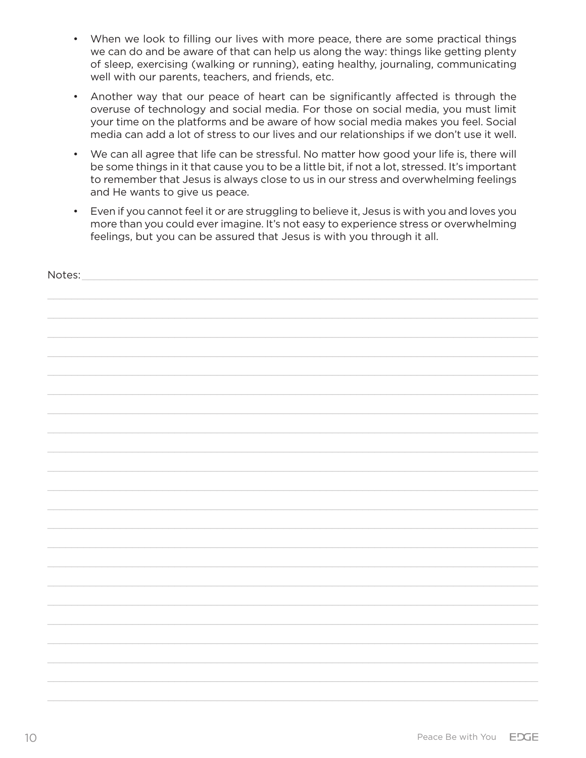- When we look to filling our lives with more peace, there are some practical things we can do and be aware of that can help us along the way: things like getting plenty of sleep, exercising (walking or running), eating healthy, journaling, communicating well with our parents, teachers, and friends, etc.
- Another way that our peace of heart can be significantly affected is through the overuse of technology and social media. For those on social media, you must limit your time on the platforms and be aware of how social media makes you feel. Social media can add a lot of stress to our lives and our relationships if we don't use it well.
- We can all agree that life can be stressful. No matter how good your life is, there will be some things in it that cause you to be a little bit, if not a lot, stressed. It's important to remember that Jesus is always close to us in our stress and overwhelming feelings and He wants to give us peace.
- Even if you cannot feel it or are struggling to believe it, Jesus is with you and loves you more than you could ever imagine. It's not easy to experience stress or overwhelming feelings, but you can be assured that Jesus is with you through it all.

| Notes: |  |
|--------|--|
|        |  |
|        |  |
|        |  |
|        |  |
|        |  |
|        |  |
|        |  |
|        |  |
|        |  |
|        |  |
|        |  |
|        |  |
|        |  |
|        |  |
|        |  |
|        |  |
|        |  |
|        |  |
|        |  |
|        |  |
|        |  |
|        |  |
|        |  |
|        |  |
|        |  |
|        |  |
|        |  |
|        |  |
|        |  |
|        |  |
|        |  |
|        |  |
|        |  |
|        |  |
|        |  |
|        |  |
|        |  |
|        |  |
|        |  |
|        |  |
|        |  |
|        |  |
|        |  |
|        |  |
|        |  |